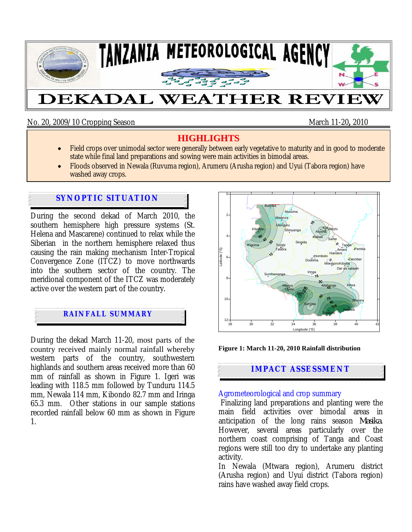

No. 20, 2009/10 Cropping Season March 11-20**,** 2010

## **HIGHLIGHTS**

- Field crops over unimodal sector were generally between early vegetative to maturity and in good to moderate state while final land preparations and sowing were main activities in bimodal areas.
- Floods observed in Newala (Ruvuma region), Arumeru (Arusha region) and Uyui (Tabora region) have washed away crops.

# **SYNOPTIC SITUATION**

During the second dekad of March 2010, the southern hemisphere high pressure systems (St. Helena and Mascarene) continued to relax while the Siberian in the northern hemisphere relaxed thus causing the rain making mechanism Inter-Tropical Convergence Zone (ITCZ) to move northwards into the southern sector of the country. The meridional component of the ITCZ was moderately active over the western part of the country.

# **RAINFALL SUMMARY**

During the dekad March 11-20, most parts of the country received mainly normal rainfall whereby western parts of the country, southwestern highlands and southern areas received more than 60 mm of rainfall as shown in Figure 1. Igeri was leading with 118.5 mm followed by Tunduru 114.5 mm, Newala 114 mm, Kibondo 82.7 mm and Iringa 65.3 mm. Other stations in our sample stations recorded rainfall below 60 mm as shown in Figure 1.



**Figure 1: March 11-20, 2010 Rainfall distribution** 

## **IMPACT ASSESSMENT**

### Agrometeorological and crop summary

 Finalizing land preparations and planting were the main field activities over bimodal areas in anticipation of the long rains season *Masika*. However, several areas particularly over the northern coast comprising of Tanga and Coast regions were still too dry to undertake any planting activity.

In Newala (Mtwara region), Arumeru district (Arusha region) and Uyui district (Tabora region) rains have washed away field crops.